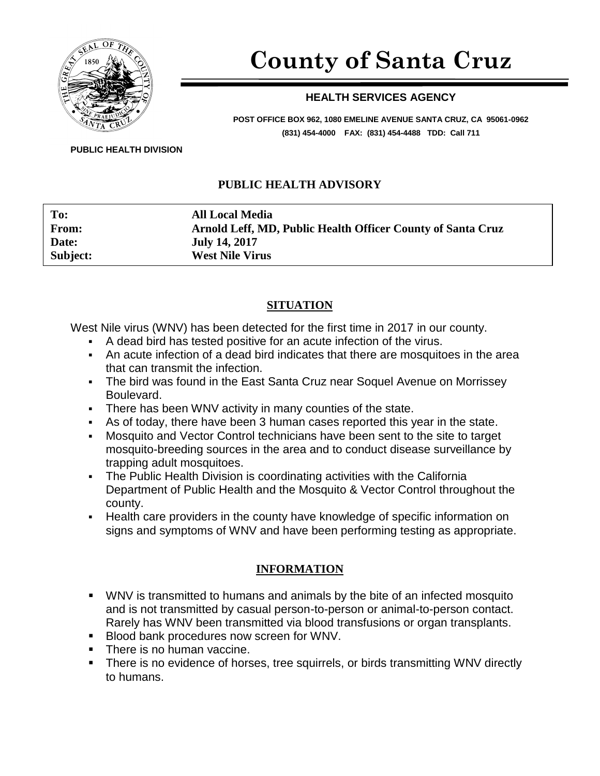

# **County of Santa Cruz**

#### **HEALTH SERVICES AGENCY**

**POST OFFICE BOX 962, 1080 EMELINE AVENUE SANTA CRUZ, CA 95061-0962 (831) 454-4000 FAX: (831) 454-4488 TDD: Call 711**

**PUBLIC HEALTH DIVISION**

#### **PUBLIC HEALTH ADVISORY**

**To: All Local Media From: Arnold Leff, MD, Public Health Officer County of Santa Cruz Date: July 14, 2017 Subject: West Nile Virus**

#### **SITUATION**

West Nile virus (WNV) has been detected for the first time in 2017 in our county.

- A dead bird has tested positive for an acute infection of the virus.
- An acute infection of a dead bird indicates that there are mosquitoes in the area that can transmit the infection.
- The bird was found in the East Santa Cruz near Soquel Avenue on Morrissey Boulevard.
- There has been WNV activity in many counties of the state.
- As of today, there have been 3 human cases reported this year in the state.
- Mosquito and Vector Control technicians have been sent to the site to target mosquito-breeding sources in the area and to conduct disease surveillance by trapping adult mosquitoes.
- The Public Health Division is coordinating activities with the California Department of Public Health and the Mosquito & Vector Control throughout the county.
- Health care providers in the county have knowledge of specific information on signs and symptoms of WNV and have been performing testing as appropriate.

### **INFORMATION**

- WNV is transmitted to humans and animals by the bite of an infected mosquito and is not transmitted by casual person-to-person or animal-to-person contact. Rarely has WNV been transmitted via blood transfusions or organ transplants.
- Blood bank procedures now screen for WNV.
- There is no human vaccine.
- There is no evidence of horses, tree squirrels, or birds transmitting WNV directly to humans.